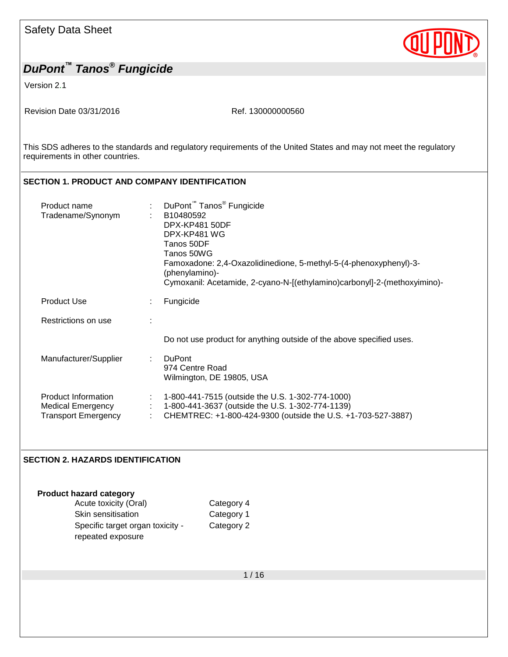Version 2.1

Revision Date 03/31/2016 Ref. 130000000560

This SDS adheres to the standards and regulatory requirements of the United States and may not meet the regulatory requirements in other countries.

## **SECTION 1. PRODUCT AND COMPANY IDENTIFICATION**

| Product name<br>Tradename/Synonym                                             | DuPont <sup>™</sup> Tanos <sup>®</sup> Fungicide<br>÷<br>B10480592<br>DPX-KP481 50DF<br>DPX-KP481 WG<br>Tanos 50DF<br>Tanos 50WG<br>Famoxadone: 2,4-Oxazolidinedione, 5-methyl-5-(4-phenoxyphenyl)-3-<br>(phenylamino)-<br>Cymoxanil: Acetamide, 2-cyano-N-[(ethylamino)carbonyl]-2-(methoxyimino)- |
|-------------------------------------------------------------------------------|-----------------------------------------------------------------------------------------------------------------------------------------------------------------------------------------------------------------------------------------------------------------------------------------------------|
| <b>Product Use</b>                                                            | Fungicide                                                                                                                                                                                                                                                                                           |
| Restrictions on use                                                           |                                                                                                                                                                                                                                                                                                     |
|                                                                               | Do not use product for anything outside of the above specified uses.                                                                                                                                                                                                                                |
| Manufacturer/Supplier                                                         | <b>DuPont</b><br>÷<br>974 Centre Road<br>Wilmington, DE 19805, USA                                                                                                                                                                                                                                  |
| Product Information<br><b>Medical Emergency</b><br><b>Transport Emergency</b> | 1-800-441-7515 (outside the U.S. 1-302-774-1000)<br>1-800-441-3637 (outside the U.S. 1-302-774-1139)<br>CHEMTREC: +1-800-424-9300 (outside the U.S. +1-703-527-3887)                                                                                                                                |

#### **SECTION 2. HAZARDS IDENTIFICATION**

**Product hazard category** Acute toxicity (Oral) Category 4 Skin sensitisation Category 1 Specific target organ toxicity repeated exposure Category 2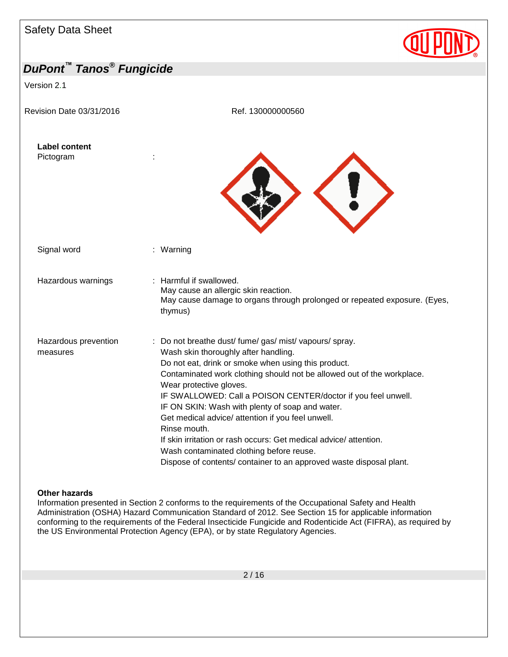Version 2.1

Revision Date 03/31/2016 **Ref. 130000000560** 





Signal word : Warning

Hazardous warnings : Harmful if swallowed.

- May cause an allergic skin reaction. May cause damage to organs through prolonged or repeated exposure. (Eyes, thymus)
- Hazardous prevention measures : Do not breathe dust/ fume/ gas/ mist/ vapours/ spray. Wash skin thoroughly after handling. Do not eat, drink or smoke when using this product. Contaminated work clothing should not be allowed out of the workplace. Wear protective gloves. IF SWALLOWED: Call a POISON CENTER/doctor if you feel unwell. IF ON SKIN: Wash with plenty of soap and water. Get medical advice/ attention if you feel unwell. Rinse mouth. If skin irritation or rash occurs: Get medical advice/ attention. Wash contaminated clothing before reuse. Dispose of contents/ container to an approved waste disposal plant.

#### **Other hazards**

Information presented in Section 2 conforms to the requirements of the Occupational Safety and Health Administration (OSHA) Hazard Communication Standard of 2012. See Section 15 for applicable information conforming to the requirements of the Federal Insecticide Fungicide and Rodenticide Act (FIFRA), as required by the US Environmental Protection Agency (EPA), or by state Regulatory Agencies.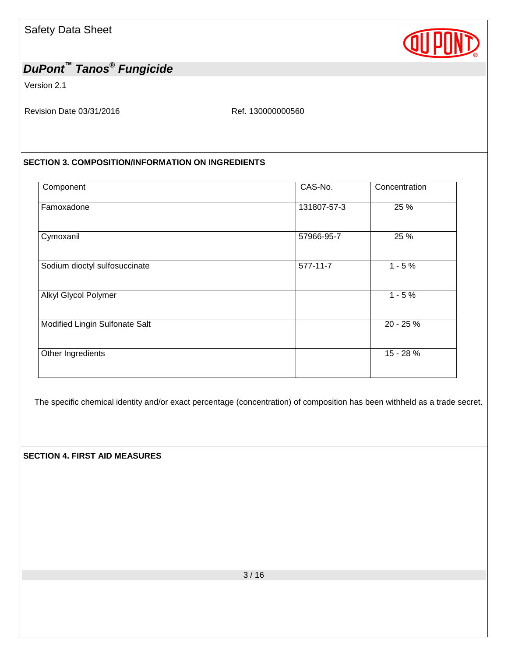

Version 2.1

Revision Date 03/31/2016 Ref. 130000000560

#### **SECTION 3. COMPOSITION/INFORMATION ON INGREDIENTS**

| Component                      | CAS-No.        | Concentration |
|--------------------------------|----------------|---------------|
| Famoxadone                     | 131807-57-3    | 25 %          |
| Cymoxanil                      | 57966-95-7     | 25 %          |
| Sodium dioctyl sulfosuccinate  | $577 - 11 - 7$ | $1 - 5%$      |
| Alkyl Glycol Polymer           |                | $1 - 5%$      |
| Modified Lingin Sulfonate Salt |                | 20 - 25 %     |
| Other Ingredients              |                | 15 - 28 %     |
|                                |                |               |

The specific chemical identity and/or exact percentage (concentration) of composition has been withheld as a trade secret.

**SECTION 4. FIRST AID MEASURES**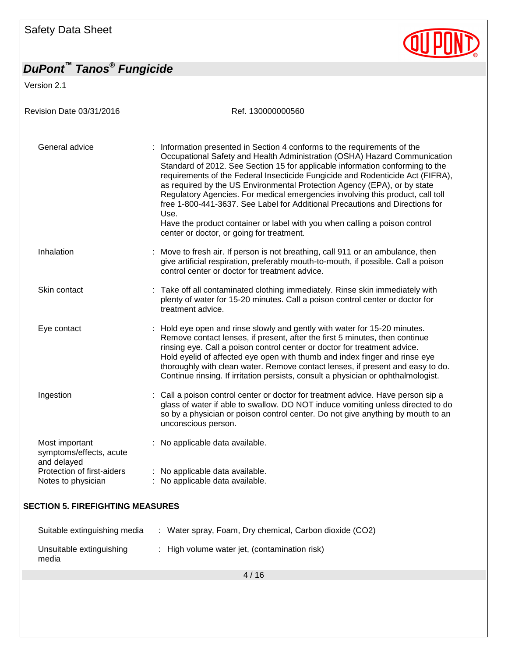Version 2.1

Revision Date 03/31/2016 **Ref. 130000000560** General advice : Information presented in Section 4 conforms to the requirements of the Occupational Safety and Health Administration (OSHA) Hazard Communication Standard of 2012. See Section 15 for applicable information conforming to the requirements of the Federal Insecticide Fungicide and Rodenticide Act (FIFRA), as required by the US Environmental Protection Agency (EPA), or by state Regulatory Agencies. For medical emergencies involving this product, call toll free 1-800-441-3637. See Label for Additional Precautions and Directions for Use. Have the product container or label with you when calling a poison control center or doctor, or going for treatment. Inhalation : Move to fresh air. If person is not breathing, call 911 or an ambulance, then give artificial respiration, preferably mouth-to-mouth, if possible. Call a poison control center or doctor for treatment advice. Skin contact : Take off all contaminated clothing immediately. Rinse skin immediately with plenty of water for 15-20 minutes. Call a poison control center or doctor for treatment advice. Eye contact **Example 20** : Hold eye open and rinse slowly and gently with water for 15-20 minutes. Remove contact lenses, if present, after the first 5 minutes, then continue rinsing eye. Call a poison control center or doctor for treatment advice. Hold eyelid of affected eye open with thumb and index finger and rinse eye thoroughly with clean water. Remove contact lenses, if present and easy to do. Continue rinsing. If irritation persists, consult a physician or ophthalmologist. Ingestion : Call a poison control center or doctor for treatment advice. Have person sip a glass of water if able to swallow. DO NOT induce vomiting unless directed to do so by a physician or poison control center. Do not give anything by mouth to an unconscious person. Most important symptoms/effects, acute and delayed<br>Protection of first-aiders : No applicable data available. : No applicable data available. Notes to physician : No applicable data available. **SECTION 5. FIREFIGHTING MEASURES**

| Suitable extinguishing media      | : Water spray, Foam, Dry chemical, Carbon dioxide (CO2) |
|-----------------------------------|---------------------------------------------------------|
| Unsuitable extinguishing<br>media | : High volume water jet, (contamination risk)           |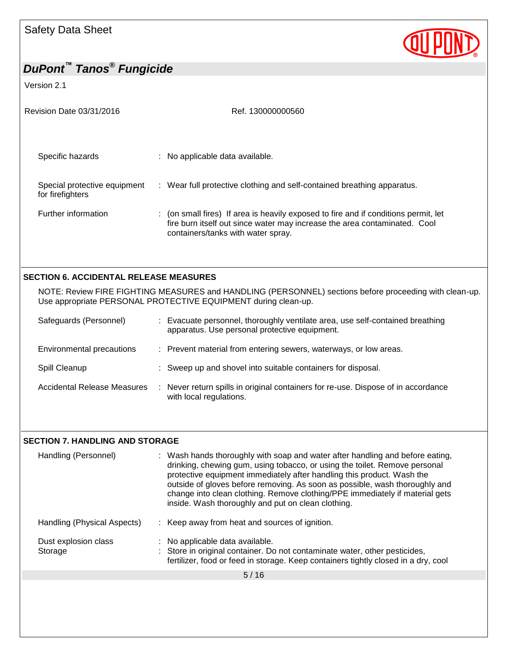Version 2.1

| Revision Date 03/31/2016                         | Ref. 130000000560                                                                                                                                                                                      |
|--------------------------------------------------|--------------------------------------------------------------------------------------------------------------------------------------------------------------------------------------------------------|
| Specific hazards                                 | : No applicable data available.                                                                                                                                                                        |
| Special protective equipment<br>for firefighters | : Wear full protective clothing and self-contained breathing apparatus.                                                                                                                                |
| Further information                              | : (on small fires) If area is heavily exposed to fire and if conditions permit, let<br>fire burn itself out since water may increase the area contaminated. Cool<br>containers/tanks with water spray. |
|                                                  |                                                                                                                                                                                                        |
| <b>SECTION 6. ACCIDENTAL RELEASE MEASURES</b>    |                                                                                                                                                                                                        |
|                                                  | NOTE: Review FIRE FIGHTING MEASURES and HANDLING (PERSONNEL) sections before proceeding with clean-up.<br>Use appropriate PERSONAL PROTECTIVE EQUIPMENT during clean-up.                               |
| Safeguards (Personnel)                           | Evacuate personnel, thoroughly ventilate area, use self-contained breathing<br>apparatus. Use personal protective equipment.                                                                           |
| Environmental precautions                        | : Prevent material from entering sewers, waterways, or low areas.                                                                                                                                      |
| Spill Cleanup                                    | : Sweep up and shovel into suitable containers for disposal.                                                                                                                                           |
| <b>Accidental Release Measures</b>               | : Never return spills in original containers for re-use. Dispose of in accordance<br>with local regulations.                                                                                           |

QUPOND

## **SECTION 7. HANDLING AND STORAGE**

| Handling (Personnel)            | : Wash hands thoroughly with soap and water after handling and before eating,<br>drinking, chewing gum, using tobacco, or using the toilet. Remove personal<br>protective equipment immediately after handling this product. Wash the<br>outside of gloves before removing. As soon as possible, wash thoroughly and<br>change into clean clothing. Remove clothing/PPE immediately if material gets<br>inside. Wash thoroughly and put on clean clothing. |  |
|---------------------------------|------------------------------------------------------------------------------------------------------------------------------------------------------------------------------------------------------------------------------------------------------------------------------------------------------------------------------------------------------------------------------------------------------------------------------------------------------------|--|
| Handling (Physical Aspects)     | : Keep away from heat and sources of ignition.                                                                                                                                                                                                                                                                                                                                                                                                             |  |
| Dust explosion class<br>Storage | : No applicable data available.<br>: Store in original container. Do not contaminate water, other pesticides,<br>fertilizer, food or feed in storage. Keep containers tightly closed in a dry, cool                                                                                                                                                                                                                                                        |  |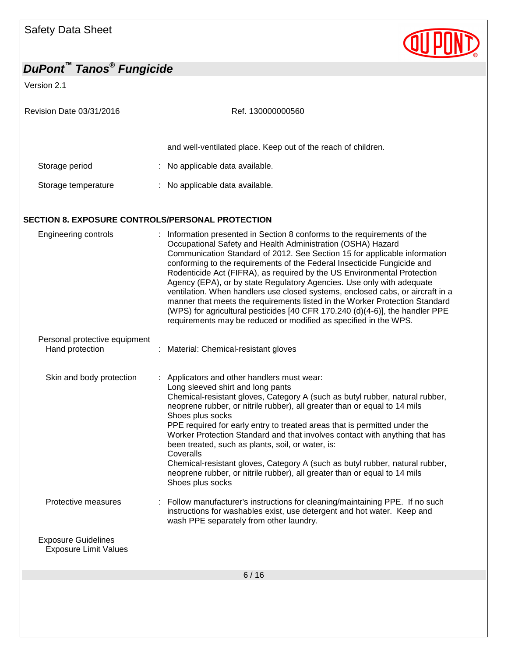Version 2.1

| Revision Date 03/31/2016 | Ref. 130000000560                                             |
|--------------------------|---------------------------------------------------------------|
|                          | and well-ventilated place. Keep out of the reach of children. |
| Storage period           | : No applicable data available.                               |
| Storage temperature      | : No applicable data available.                               |

## **SECTION 8. EXPOSURE CONTROLS/PERSONAL PROTECTION**

| <b>Engineering controls</b>                                | Information presented in Section 8 conforms to the requirements of the<br>Occupational Safety and Health Administration (OSHA) Hazard<br>Communication Standard of 2012. See Section 15 for applicable information<br>conforming to the requirements of the Federal Insecticide Fungicide and<br>Rodenticide Act (FIFRA), as required by the US Environmental Protection<br>Agency (EPA), or by state Regulatory Agencies. Use only with adequate<br>ventilation. When handlers use closed systems, enclosed cabs, or aircraft in a<br>manner that meets the requirements listed in the Worker Protection Standard<br>(WPS) for agricultural pesticides [40 CFR 170.240 (d)(4-6)], the handler PPE<br>requirements may be reduced or modified as specified in the WPS. |
|------------------------------------------------------------|------------------------------------------------------------------------------------------------------------------------------------------------------------------------------------------------------------------------------------------------------------------------------------------------------------------------------------------------------------------------------------------------------------------------------------------------------------------------------------------------------------------------------------------------------------------------------------------------------------------------------------------------------------------------------------------------------------------------------------------------------------------------|
| Personal protective equipment<br>Hand protection           | : Material: Chemical-resistant gloves                                                                                                                                                                                                                                                                                                                                                                                                                                                                                                                                                                                                                                                                                                                                  |
| Skin and body protection                                   | Applicators and other handlers must wear:<br>Long sleeved shirt and long pants<br>Chemical-resistant gloves, Category A (such as butyl rubber, natural rubber,<br>neoprene rubber, or nitrile rubber), all greater than or equal to 14 mils<br>Shoes plus socks<br>PPE required for early entry to treated areas that is permitted under the<br>Worker Protection Standard and that involves contact with anything that has<br>been treated, such as plants, soil, or water, is:<br>Coveralls<br>Chemical-resistant gloves, Category A (such as butyl rubber, natural rubber,<br>neoprene rubber, or nitrile rubber), all greater than or equal to 14 mils<br>Shoes plus socks                                                                                         |
| Protective measures                                        | : Follow manufacturer's instructions for cleaning/maintaining PPE. If no such<br>instructions for washables exist, use detergent and hot water. Keep and<br>wash PPE separately from other laundry.                                                                                                                                                                                                                                                                                                                                                                                                                                                                                                                                                                    |
| <b>Exposure Guidelines</b><br><b>Exposure Limit Values</b> |                                                                                                                                                                                                                                                                                                                                                                                                                                                                                                                                                                                                                                                                                                                                                                        |
|                                                            | 6/16                                                                                                                                                                                                                                                                                                                                                                                                                                                                                                                                                                                                                                                                                                                                                                   |
|                                                            |                                                                                                                                                                                                                                                                                                                                                                                                                                                                                                                                                                                                                                                                                                                                                                        |

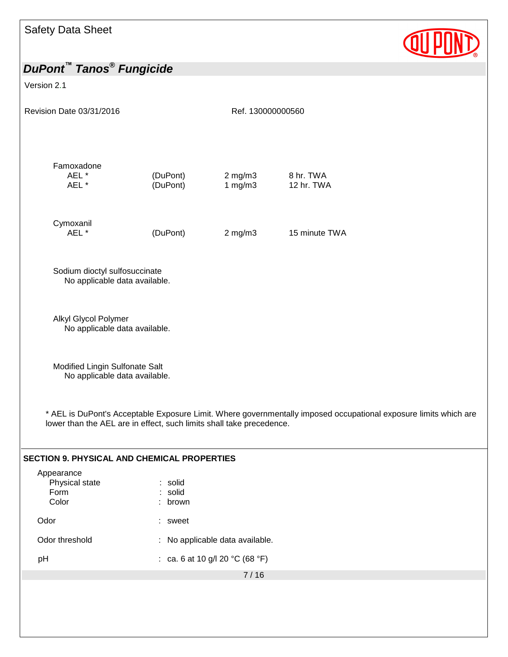

| <b>DuPont™ Tanos<sup>®</sup> Fungicide</b>                                                          |                           |                                 |                                                                                                                  |  |
|-----------------------------------------------------------------------------------------------------|---------------------------|---------------------------------|------------------------------------------------------------------------------------------------------------------|--|
| Version 2.1                                                                                         |                           |                                 |                                                                                                                  |  |
| Revision Date 03/31/2016                                                                            |                           | Ref. 130000000560               |                                                                                                                  |  |
| Famoxadone<br>AEL *<br>AEL *                                                                        | (DuPont)<br>(DuPont)      | $2$ mg/m $3$<br>1 $mg/m3$       | 8 hr. TWA<br>12 hr. TWA                                                                                          |  |
| Cymoxanil<br>AEL *                                                                                  | (DuPont)                  | $2$ mg/m $3$                    | 15 minute TWA                                                                                                    |  |
| Sodium dioctyl sulfosuccinate<br>No applicable data available.                                      |                           |                                 |                                                                                                                  |  |
| Alkyl Glycol Polymer<br>No applicable data available.                                               |                           |                                 |                                                                                                                  |  |
| Modified Lingin Sulfonate Salt<br>No applicable data available.                                     |                           |                                 |                                                                                                                  |  |
| lower than the AEL are in effect, such limits shall take precedence.                                |                           |                                 | * AEL is DuPont's Acceptable Exposure Limit. Where governmentally imposed occupational exposure limits which are |  |
| <b>SECTION 9. PHYSICAL AND CHEMICAL PROPERTIES</b><br>Appearance<br>Physical state<br>Form<br>Color | : solid<br>solid<br>brown |                                 |                                                                                                                  |  |
| Odor                                                                                                | ÷.<br>sweet               |                                 |                                                                                                                  |  |
| Odor threshold                                                                                      | ÷                         | No applicable data available.   |                                                                                                                  |  |
| pH                                                                                                  |                           | : ca. 6 at 10 g/l 20 °C (68 °F) |                                                                                                                  |  |
|                                                                                                     |                           | 7/16                            |                                                                                                                  |  |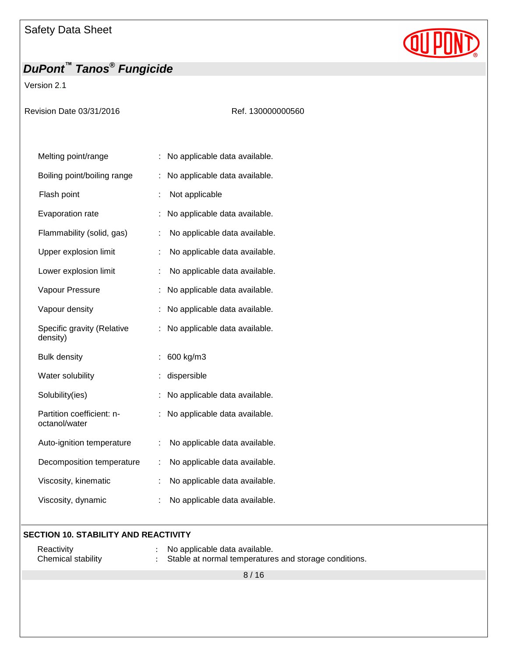Version 2.1

|  | Revision Date 03/31/2016 |  |
|--|--------------------------|--|
|  |                          |  |

Ref. 130000000560

QUPON

| Melting point/range                        |                      | No applicable data available. |
|--------------------------------------------|----------------------|-------------------------------|
| Boiling point/boiling range                |                      | No applicable data available. |
| Flash point                                | t                    | Not applicable                |
| Evaporation rate                           |                      | No applicable data available. |
| Flammability (solid, gas)                  | ÷                    | No applicable data available. |
| Upper explosion limit                      | t                    | No applicable data available. |
| Lower explosion limit                      | ÷                    | No applicable data available. |
| Vapour Pressure                            |                      | No applicable data available. |
| Vapour density                             |                      | No applicable data available. |
| Specific gravity (Relative<br>density)     |                      | No applicable data available. |
| <b>Bulk density</b>                        |                      | 600 kg/m3                     |
| Water solubility                           |                      | dispersible                   |
| Solubility(ies)                            |                      | No applicable data available. |
| Partition coefficient: n-<br>octanol/water |                      | No applicable data available. |
| Auto-ignition temperature                  | $\ddot{\phantom{a}}$ | No applicable data available. |
| Decomposition temperature                  | ÷                    | No applicable data available. |
| Viscosity, kinematic                       | t                    | No applicable data available. |
| Viscosity, dynamic                         | ÷                    | No applicable data available. |

#### **SECTION 10. STABILITY AND REACTIVITY**

| Reactivity         | No applicable data available.                         |
|--------------------|-------------------------------------------------------|
| Chemical stability | Stable at normal temperatures and storage conditions. |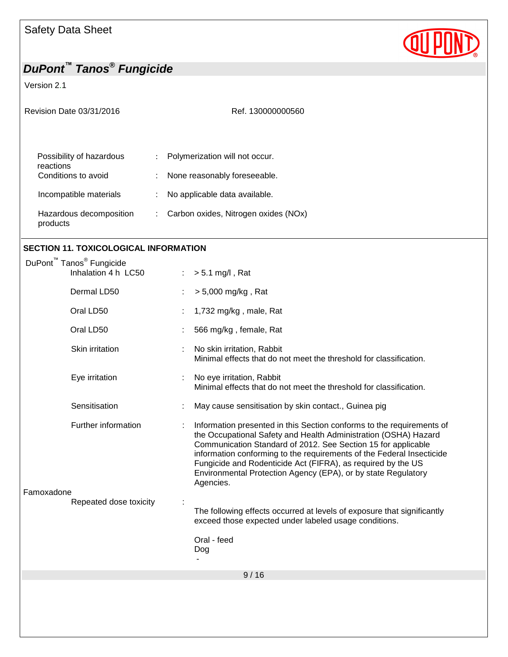Version 2.1

| Revision Date 03/31/2016            |   | Ref. 130000000560                    |  |
|-------------------------------------|---|--------------------------------------|--|
| Possibility of hazardous            | ÷ | Polymerization will not occur.       |  |
| reactions<br>Conditions to avoid    |   | None reasonably foreseeable.         |  |
| Incompatible materials              |   | No applicable data available.        |  |
| Hazardous decomposition<br>products | ÷ | Carbon oxides, Nitrogen oxides (NOx) |  |

## **SECTION 11. TOXICOLOGICAL INFORMATION**

| DuPont <sup>™</sup> Tanos <sup>®</sup> Fungicide |                        |   |                                                                                                                                                                                                                                                                                                                                                                                                                                  |
|--------------------------------------------------|------------------------|---|----------------------------------------------------------------------------------------------------------------------------------------------------------------------------------------------------------------------------------------------------------------------------------------------------------------------------------------------------------------------------------------------------------------------------------|
|                                                  | Inhalation 4 h LC50    |   | $> 5.1$ mg/l, Rat                                                                                                                                                                                                                                                                                                                                                                                                                |
|                                                  | Dermal LD50            |   | $> 5,000$ mg/kg, Rat                                                                                                                                                                                                                                                                                                                                                                                                             |
|                                                  | Oral LD50              |   | 1,732 mg/kg, male, Rat                                                                                                                                                                                                                                                                                                                                                                                                           |
|                                                  | Oral LD50              |   | 566 mg/kg, female, Rat                                                                                                                                                                                                                                                                                                                                                                                                           |
|                                                  | Skin irritation        |   | No skin irritation, Rabbit<br>Minimal effects that do not meet the threshold for classification.                                                                                                                                                                                                                                                                                                                                 |
|                                                  | Eye irritation         | ÷ | No eye irritation, Rabbit<br>Minimal effects that do not meet the threshold for classification.                                                                                                                                                                                                                                                                                                                                  |
|                                                  | Sensitisation          |   | May cause sensitisation by skin contact., Guinea pig                                                                                                                                                                                                                                                                                                                                                                             |
| Famoxadone                                       | Further information    |   | Information presented in this Section conforms to the requirements of<br>the Occupational Safety and Health Administration (OSHA) Hazard<br>Communication Standard of 2012. See Section 15 for applicable<br>information conforming to the requirements of the Federal Insecticide<br>Fungicide and Rodenticide Act (FIFRA), as required by the US<br>Environmental Protection Agency (EPA), or by state Regulatory<br>Agencies. |
|                                                  | Repeated dose toxicity |   | The following effects occurred at levels of exposure that significantly<br>exceed those expected under labeled usage conditions.                                                                                                                                                                                                                                                                                                 |
|                                                  |                        |   | Oral - feed<br>Dog                                                                                                                                                                                                                                                                                                                                                                                                               |
|                                                  |                        |   | 9/16                                                                                                                                                                                                                                                                                                                                                                                                                             |
|                                                  |                        |   |                                                                                                                                                                                                                                                                                                                                                                                                                                  |

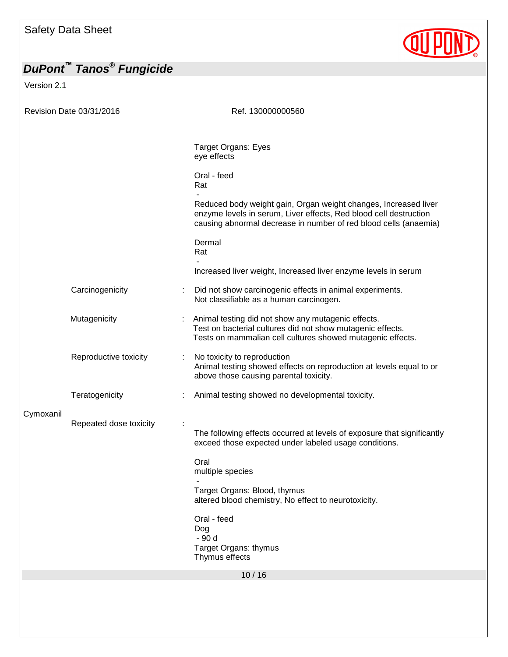Version 2.1



|           | Revision Date 03/31/2016 | Ref. 130000000560                                                                                                                                                                                        |
|-----------|--------------------------|----------------------------------------------------------------------------------------------------------------------------------------------------------------------------------------------------------|
|           |                          |                                                                                                                                                                                                          |
|           |                          | <b>Target Organs: Eyes</b><br>eye effects                                                                                                                                                                |
|           |                          | Oral - feed<br>Rat                                                                                                                                                                                       |
|           |                          | Reduced body weight gain, Organ weight changes, Increased liver<br>enzyme levels in serum, Liver effects, Red blood cell destruction<br>causing abnormal decrease in number of red blood cells (anaemia) |
|           |                          | Dermal<br>Rat                                                                                                                                                                                            |
|           |                          | Increased liver weight, Increased liver enzyme levels in serum                                                                                                                                           |
|           | Carcinogenicity          | Did not show carcinogenic effects in animal experiments.<br>Not classifiable as a human carcinogen.                                                                                                      |
|           | Mutagenicity             | Animal testing did not show any mutagenic effects.<br>Test on bacterial cultures did not show mutagenic effects.<br>Tests on mammalian cell cultures showed mutagenic effects.                           |
|           | Reproductive toxicity    | No toxicity to reproduction<br>Animal testing showed effects on reproduction at levels equal to or<br>above those causing parental toxicity.                                                             |
|           | Teratogenicity           | Animal testing showed no developmental toxicity.                                                                                                                                                         |
| Cymoxanil |                          |                                                                                                                                                                                                          |
|           | Repeated dose toxicity   | The following effects occurred at levels of exposure that significantly<br>exceed those expected under labeled usage conditions.                                                                         |
|           |                          | Oral<br>multiple species                                                                                                                                                                                 |
|           |                          | Target Organs: Blood, thymus<br>altered blood chemistry, No effect to neurotoxicity.                                                                                                                     |
|           |                          | Oral - feed<br>Dog<br>- 90 d<br>Target Organs: thymus                                                                                                                                                    |
|           |                          | Thymus effects<br>10/16                                                                                                                                                                                  |
|           |                          |                                                                                                                                                                                                          |
|           |                          |                                                                                                                                                                                                          |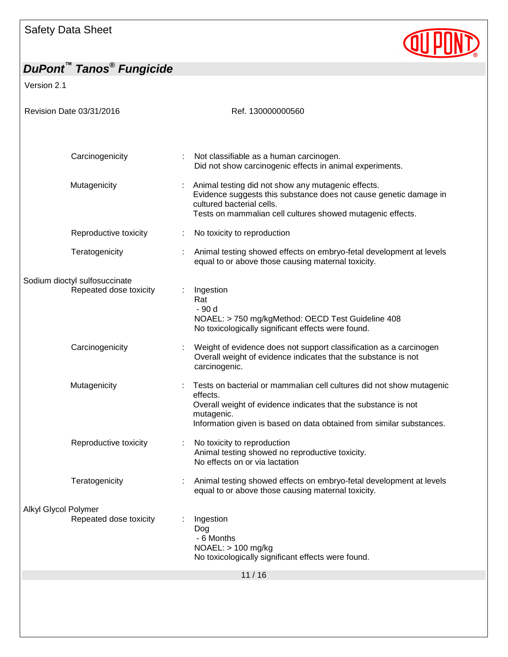# **QUIPOND**

| Version 2.1                   |                                                                                                                                                                                                                                          |
|-------------------------------|------------------------------------------------------------------------------------------------------------------------------------------------------------------------------------------------------------------------------------------|
| Revision Date 03/31/2016      | Ref. 130000000560                                                                                                                                                                                                                        |
| Carcinogenicity               | Not classifiable as a human carcinogen.<br>Did not show carcinogenic effects in animal experiments.                                                                                                                                      |
| Mutagenicity                  | Animal testing did not show any mutagenic effects.<br>Evidence suggests this substance does not cause genetic damage in<br>cultured bacterial cells.<br>Tests on mammalian cell cultures showed mutagenic effects.                       |
| Reproductive toxicity         | No toxicity to reproduction<br>÷                                                                                                                                                                                                         |
| Teratogenicity                | Animal testing showed effects on embryo-fetal development at levels<br>equal to or above those causing maternal toxicity.                                                                                                                |
| Sodium dioctyl sulfosuccinate |                                                                                                                                                                                                                                          |
| Repeated dose toxicity        | Ingestion<br>Rat<br>- 90 d<br>NOAEL: > 750 mg/kgMethod: OECD Test Guideline 408<br>No toxicologically significant effects were found.                                                                                                    |
| Carcinogenicity               | Weight of evidence does not support classification as a carcinogen<br>Overall weight of evidence indicates that the substance is not<br>carcinogenic.                                                                                    |
| Mutagenicity                  | Tests on bacterial or mammalian cell cultures did not show mutagenic<br>effects.<br>Overall weight of evidence indicates that the substance is not<br>mutagenic.<br>Information given is based on data obtained from similar substances. |
| Reproductive toxicity         | No toxicity to reproduction<br>Animal testing showed no reproductive toxicity.<br>No effects on or via lactation                                                                                                                         |
| Teratogenicity                | Animal testing showed effects on embryo-fetal development at levels<br>equal to or above those causing maternal toxicity.                                                                                                                |
| Alkyl Glycol Polymer          |                                                                                                                                                                                                                                          |
| Repeated dose toxicity        | Ingestion<br>Dog<br>- 6 Months<br>NOAEL: > 100 mg/kg<br>No toxicologically significant effects were found.                                                                                                                               |
|                               | 11/16                                                                                                                                                                                                                                    |
|                               |                                                                                                                                                                                                                                          |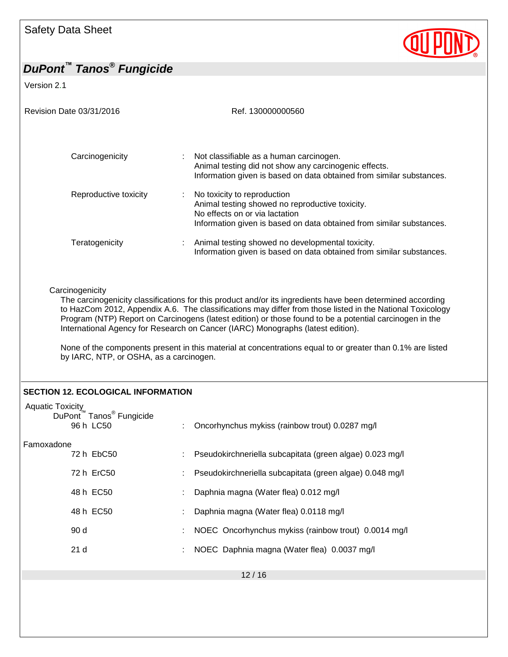

| Revision Date 03/31/2016                                                             | Ref. 130000000560                                                                                                                                                                                                                                                                                                                                                                                                     |
|--------------------------------------------------------------------------------------|-----------------------------------------------------------------------------------------------------------------------------------------------------------------------------------------------------------------------------------------------------------------------------------------------------------------------------------------------------------------------------------------------------------------------|
| Carcinogenicity                                                                      | Not classifiable as a human carcinogen.<br>Animal testing did not show any carcinogenic effects.<br>Information given is based on data obtained from similar substances.                                                                                                                                                                                                                                              |
| Reproductive toxicity                                                                | No toxicity to reproduction<br>Animal testing showed no reproductive toxicity.<br>No effects on or via lactation<br>Information given is based on data obtained from similar substances.                                                                                                                                                                                                                              |
| Teratogenicity                                                                       | Animal testing showed no developmental toxicity.<br>Information given is based on data obtained from similar substances.                                                                                                                                                                                                                                                                                              |
|                                                                                      | The carcinogenicity classifications for this product and/or its ingredients have been determined according                                                                                                                                                                                                                                                                                                            |
| by IARC, NTP, or OSHA, as a carcinogen.<br><b>SECTION 12. ECOLOGICAL INFORMATION</b> | to HazCom 2012, Appendix A.6. The classifications may differ from those listed in the National Toxicology<br>Program (NTP) Report on Carcinogens (latest edition) or those found to be a potential carcinogen in the<br>International Agency for Research on Cancer (IARC) Monographs (latest edition).<br>None of the components present in this material at concentrations equal to or greater than 0.1% are listed |
| <b>Aquatic Toxicity</b><br>DuPont™ Tanos <sup>®</sup> Fungicide<br>96 h LC50         | Oncorhynchus mykiss (rainbow trout) 0.0287 mg/l                                                                                                                                                                                                                                                                                                                                                                       |
| Famoxadone<br>72 h EbC50                                                             | Pseudokirchneriella subcapitata (green algae) 0.023 mg/l                                                                                                                                                                                                                                                                                                                                                              |
| 72 h ErC50                                                                           | Pseudokirchneriella subcapitata (green algae) 0.048 mg/l                                                                                                                                                                                                                                                                                                                                                              |
| 48 h EC50                                                                            | Daphnia magna (Water flea) 0.012 mg/l                                                                                                                                                                                                                                                                                                                                                                                 |
| 48 h EC50                                                                            | Daphnia magna (Water flea) 0.0118 mg/l                                                                                                                                                                                                                                                                                                                                                                                |
| 90 d                                                                                 | NOEC Oncorhynchus mykiss (rainbow trout) 0.0014 mg/l                                                                                                                                                                                                                                                                                                                                                                  |
| 21d                                                                                  | NOEC Daphnia magna (Water flea) 0.0037 mg/l                                                                                                                                                                                                                                                                                                                                                                           |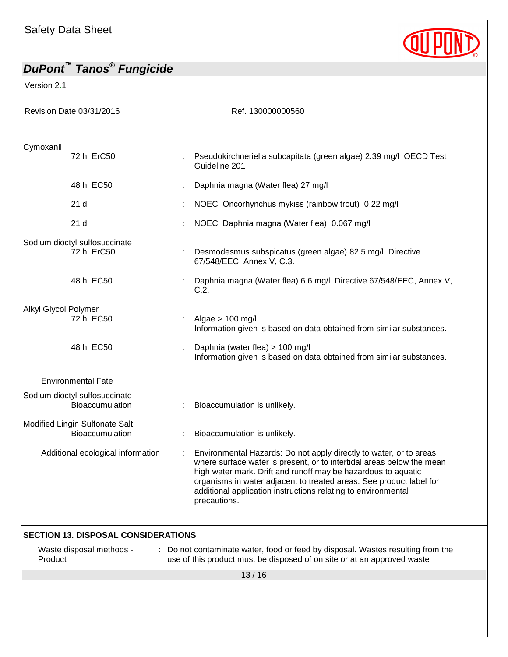Version 2.1

Revision Date 03/31/2016 **Ref. 130000000560** Cymoxanil 72 h ErC50 : Pseudokirchneriella subcapitata (green algae) 2.39 mg/l OECD Test Guideline 201 48 h EC50 : Daphnia magna (Water flea) 27 mg/l 21 d : NOEC Oncorhynchus mykiss (rainbow trout) 0.22 mg/l 21 d : NOEC Daphnia magna (Water flea) 0.067 mg/l Sodium dioctyl sulfosuccinate 72 h ErC50 : Desmodesmus subspicatus (green algae) 82.5 mg/l Directive 67/548/EEC, Annex V, C.3. 48 h EC50 : Daphnia magna (Water flea) 6.6 mg/l Directive 67/548/EEC, Annex V, C.2. Alkyl Glycol Polymer 72 h EC50 : Algae > 100 mg/l Information given is based on data obtained from similar substances. 48 h EC50 : Daphnia (water flea) > 100 mg/l Information given is based on data obtained from similar substances. Environmental Fate Sodium dioctyl sulfosuccinate Bioaccumulation : Bioaccumulation is unlikely. Modified Lingin Sulfonate Salt Bioaccumulation : Bioaccumulation is unlikely. Additional ecological information : Environmental Hazards: Do not apply directly to water, or to areas where surface water is present, or to intertidal areas below the mean high water mark. Drift and runoff may be hazardous to aquatic organisms in water adjacent to treated areas. See product label for additional application instructions relating to environmental precautions. **SECTION 13. DISPOSAL CONSIDERATIONS**

Waste disposal methods - Product : Do not contaminate water, food or feed by disposal. Wastes resulting from the use of this product must be disposed of on site or at an approved waste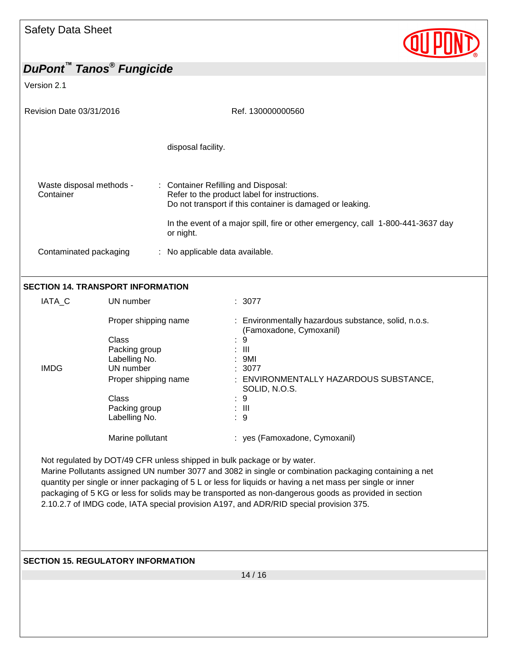Version 2.1

| Revision Date 03/31/2016                 |                                                                                                                                                        | Ref. 130000000560                                                                                                                                                                                                                                |
|------------------------------------------|--------------------------------------------------------------------------------------------------------------------------------------------------------|--------------------------------------------------------------------------------------------------------------------------------------------------------------------------------------------------------------------------------------------------|
|                                          |                                                                                                                                                        | disposal facility.                                                                                                                                                                                                                               |
| Waste disposal methods -<br>Container    |                                                                                                                                                        | : Container Refilling and Disposal:<br>Refer to the product label for instructions.<br>Do not transport if this container is damaged or leaking.<br>In the event of a major spill, fire or other emergency, call 1-800-441-3637 day<br>or night. |
| Contaminated packaging                   |                                                                                                                                                        | : No applicable data available.                                                                                                                                                                                                                  |
| <b>SECTION 14. TRANSPORT INFORMATION</b> |                                                                                                                                                        |                                                                                                                                                                                                                                                  |
| IATA C                                   | UN number                                                                                                                                              | : 3077                                                                                                                                                                                                                                           |
| <b>IMDG</b>                              | Proper shipping name<br><b>Class</b><br>Packing group<br>Labelling No.<br>UN number<br>Proper shipping name<br>Class<br>Packing group<br>Labelling No. | : Environmentally hazardous substance, solid, n.o.s.<br>(Famoxadone, Cymoxanil)<br>9<br>$\mathbf{III}$<br>9MI<br>3077<br>ENVIRONMENTALLY HAZARDOUS SUBSTANCE,<br>SOLID, N.O.S.<br>9<br>$\mathbf{III}$<br>9                                       |

Not regulated by DOT/49 CFR unless shipped in bulk package or by water.

Marine Pollutants assigned UN number 3077 and 3082 in single or combination packaging containing a net quantity per single or inner packaging of 5 L or less for liquids or having a net mass per single or inner packaging of 5 KG or less for solids may be transported as non-dangerous goods as provided in section 2.10.2.7 of IMDG code, IATA special provision A197, and ADR/RID special provision 375.

Marine pollutant : yes (Famoxadone, Cymoxanil)

#### **SECTION 15. REGULATORY INFORMATION**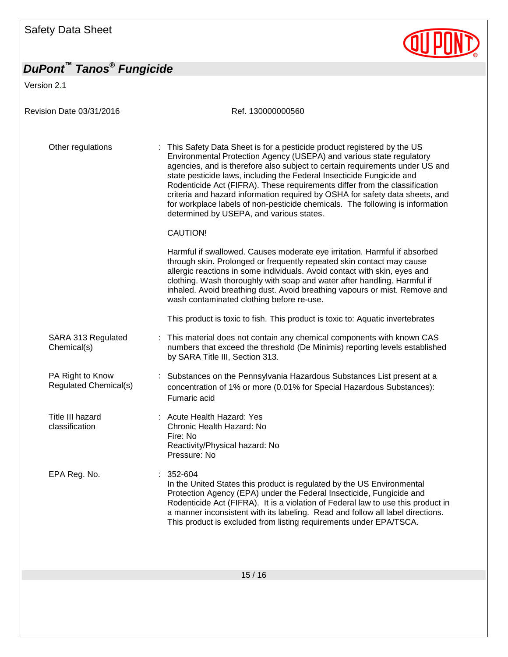Version 2.1

**QUIPOND** 

| Revision Date 03/31/2016                  | Ref. 130000000560                                                                                                                                                                                                                                                                                                                                                                                                                                                                                                                                                                                    |
|-------------------------------------------|------------------------------------------------------------------------------------------------------------------------------------------------------------------------------------------------------------------------------------------------------------------------------------------------------------------------------------------------------------------------------------------------------------------------------------------------------------------------------------------------------------------------------------------------------------------------------------------------------|
| Other regulations                         | : This Safety Data Sheet is for a pesticide product registered by the US<br>Environmental Protection Agency (USEPA) and various state regulatory<br>agencies, and is therefore also subject to certain requirements under US and<br>state pesticide laws, including the Federal Insecticide Fungicide and<br>Rodenticide Act (FIFRA). These requirements differ from the classification<br>criteria and hazard information required by OSHA for safety data sheets, and<br>for workplace labels of non-pesticide chemicals. The following is information<br>determined by USEPA, and various states. |
|                                           | <b>CAUTION!</b>                                                                                                                                                                                                                                                                                                                                                                                                                                                                                                                                                                                      |
|                                           | Harmful if swallowed. Causes moderate eye irritation. Harmful if absorbed<br>through skin. Prolonged or frequently repeated skin contact may cause<br>allergic reactions in some individuals. Avoid contact with skin, eyes and<br>clothing. Wash thoroughly with soap and water after handling. Harmful if<br>inhaled. Avoid breathing dust. Avoid breathing vapours or mist. Remove and<br>wash contaminated clothing before re-use.                                                                                                                                                               |
|                                           | This product is toxic to fish. This product is toxic to: Aquatic invertebrates                                                                                                                                                                                                                                                                                                                                                                                                                                                                                                                       |
| SARA 313 Regulated<br>Chemical(s)         | This material does not contain any chemical components with known CAS<br>numbers that exceed the threshold (De Minimis) reporting levels established<br>by SARA Title III, Section 313.                                                                                                                                                                                                                                                                                                                                                                                                              |
| PA Right to Know<br>Regulated Chemical(s) | Substances on the Pennsylvania Hazardous Substances List present at a<br>concentration of 1% or more (0.01% for Special Hazardous Substances):<br>Fumaric acid                                                                                                                                                                                                                                                                                                                                                                                                                                       |
| Title III hazard<br>classification        | : Acute Health Hazard: Yes<br>Chronic Health Hazard: No<br>Fire: No<br>Reactivity/Physical hazard: No<br>Pressure: No                                                                                                                                                                                                                                                                                                                                                                                                                                                                                |
| EPA Reg. No.                              | 352-604<br>In the United States this product is regulated by the US Environmental<br>Protection Agency (EPA) under the Federal Insecticide, Fungicide and<br>Rodenticide Act (FIFRA). It is a violation of Federal law to use this product in<br>a manner inconsistent with its labeling. Read and follow all label directions.<br>This product is excluded from listing requirements under EPA/TSCA.                                                                                                                                                                                                |
|                                           |                                                                                                                                                                                                                                                                                                                                                                                                                                                                                                                                                                                                      |